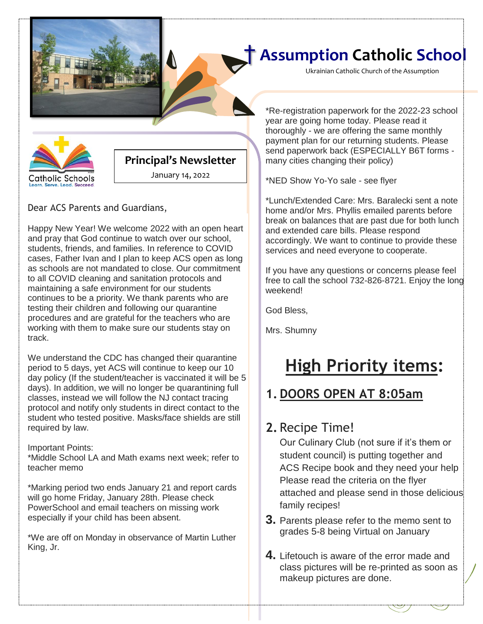

Ukrainian Catholic Church of the Assumption



#### **Principal's Newsletter**

January 14, 2022

Dear ACS Parents and Guardians,

Happy New Year! We welcome 2022 with an open heart and pray that God continue to watch over our school, students, friends, and families. In reference to COVID cases, Father Ivan and I plan to keep ACS open as long as schools are not mandated to close. Our commitment to all COVID cleaning and sanitation protocols and maintaining a safe environment for our students continues to be a priority. We thank parents who are testing their children and following our quarantine procedures and are grateful for the teachers who are working with them to make sure our students stay on track.

We understand the CDC has changed their quarantine period to 5 days, yet ACS will continue to keep our 10 day policy (If the student/teacher is vaccinated it will be 5 days). In addition, we will no longer be quarantining full classes, instead we will follow the NJ contact tracing protocol and notify only students in direct contact to the student who tested positive. Masks/face shields are still required by law.

#### Important Points:

\*Middle School LA and Math exams next week; refer to teacher memo

\*Marking period two ends January 21 and report cards will go home Friday, January 28th. Please check PowerSchool and email teachers on missing work especially if your child has been absent.

\*We are off on Monday in observance of Martin Luther King, Jr.

payment plan for our returning students. Please \*Re-registration paperwork for the 2022-23 school year are going home today. Please read it thoroughly - we are offering the same monthly send paperwork back (ESPECIALLY B6T forms many cities changing their policy)

\*NED Show Yo-Yo sale - see flyer

\*Lunch/Extended Care: Mrs. Baralecki sent a note home and/or Mrs. Phyllis emailed parents before break on balances that are past due for both lunch and extended care bills. Please respond accordingly. We want to continue to provide these services and need everyone to cooperate.

If you have any questions or concerns please feel free to call the school 732-826-8721. Enjoy the long weekend!

God Bless,

Mrs. Shumny

# **High Priority items:**

### **1. DOORS OPEN AT 8:05am**

### **2.** Recipe Time!

Our Culinary Club (not sure if it's them or student council) is putting together and ACS Recipe book and they need your help Please read the criteria on the flyer attached and please send in those delicious family recipes!

- **3.** Parents please refer to the memo sent to grades 5-8 being Virtual on January
- **4.** Lifetouch is aware of the error made and class pictures will be re-printed as soon as makeup pictures are done.